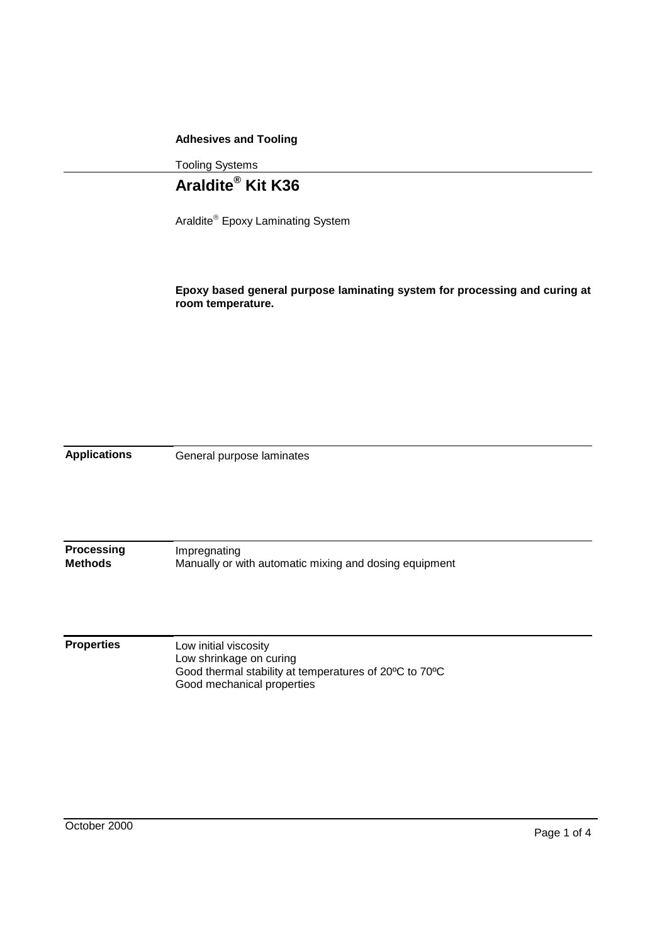## **Adhesives and Tooling**

Tooling Systems

## **Araldite® Kit K36**

Araldite<sup>®</sup> Epoxy Laminating System

**Epoxy based general purpose laminating system for processing and curing at room temperature.**

**Applications** General purpose laminates

**Processing Methods** Impregnating Manually or with automatic mixing and dosing equipment

**Properties** Low initial viscosity Low shrinkage on curing Good thermal stability at temperatures of 20ºC to 70ºC Good mechanical properties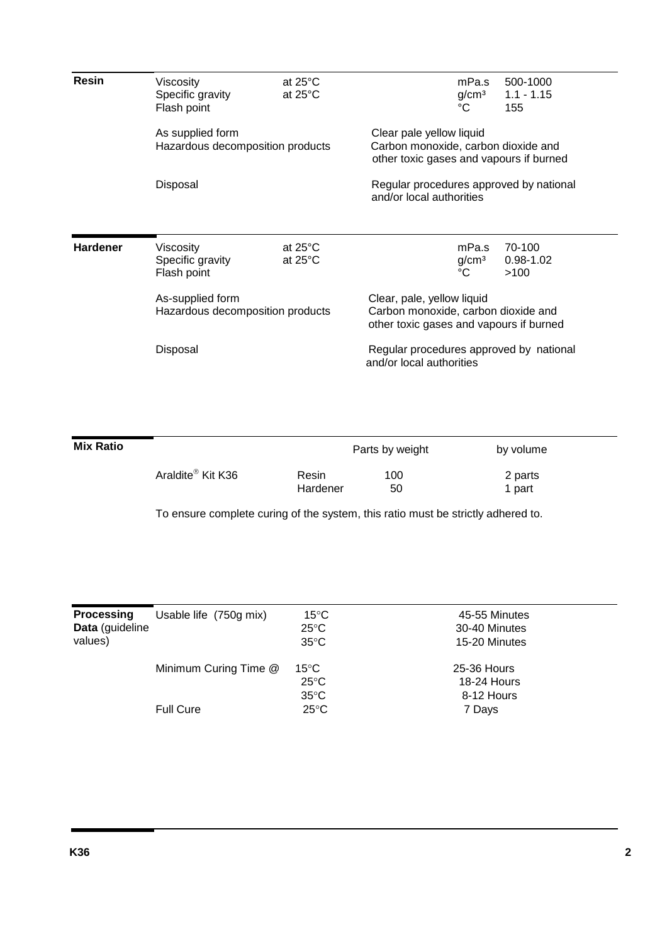| <b>Resin</b>    | Viscosity<br>Specific gravity<br>Flash point         | at $25^{\circ}$ C<br>at $25^{\circ}$ C | mPa.s<br>500-1000<br>g/cm <sup>3</sup><br>$1.1 - 1.15$<br>°C<br>155                                          |  |  |
|-----------------|------------------------------------------------------|----------------------------------------|--------------------------------------------------------------------------------------------------------------|--|--|
|                 | As supplied form<br>Hazardous decomposition products |                                        | Clear pale yellow liquid<br>Carbon monoxide, carbon dioxide and<br>other toxic gases and vapours if burned   |  |  |
|                 | Disposal                                             |                                        | Regular procedures approved by national<br>and/or local authorities                                          |  |  |
| <b>Hardener</b> | Viscosity<br>Specific gravity<br>Flash point         | at $25^{\circ}$ C<br>at $25^{\circ}$ C | mPa.s<br>70-100<br>g/cm <sup>3</sup><br>$0.98 - 1.02$<br>°C<br>>100                                          |  |  |
|                 | As-supplied form<br>Hazardous decomposition products |                                        | Clear, pale, yellow liquid<br>Carbon monoxide, carbon dioxide and<br>other toxic gases and vapours if burned |  |  |
|                 | Disposal                                             |                                        | Regular procedures approved by national<br>and/or local authorities                                          |  |  |

| <b>Mix Ratio</b> |                               |                   | Parts by weight | by volume         |
|------------------|-------------------------------|-------------------|-----------------|-------------------|
|                  | Araldite <sup>®</sup> Kit K36 | Resin<br>Hardener | 100<br>50       | 2 parts<br>1 part |

To ensure complete curing of the system, this ratio must be strictly adhered to.

| <b>Processing</b><br>Data (guideline<br>values) | Usable life (750g mix) | $15^{\circ}$ C<br>$25^{\circ}$ C<br>$35^{\circ}$ C | 45-55 Minutes<br>30-40 Minutes<br>15-20 Minutes |
|-------------------------------------------------|------------------------|----------------------------------------------------|-------------------------------------------------|
|                                                 | Minimum Curing Time @  | $15^{\circ}$ C<br>$25^{\circ}$ C<br>$35^{\circ}$ C | 25-36 Hours<br>18-24 Hours<br>8-12 Hours        |
|                                                 | <b>Full Cure</b>       | $25^{\circ}$ C                                     | 7 Days                                          |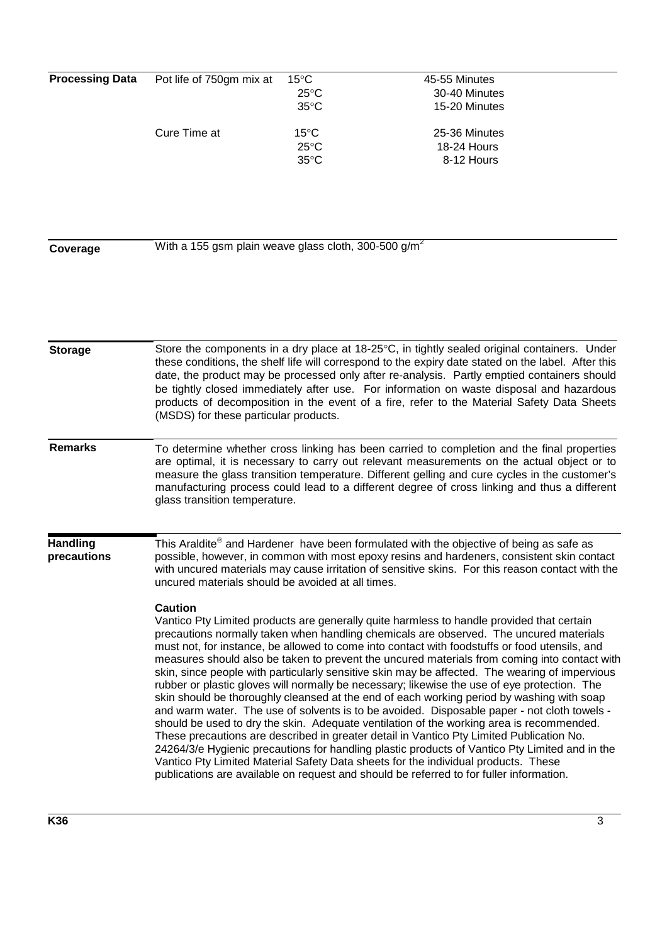| <b>Processing Data</b>         | Pot life of 750gm mix at                                                                                                                                                                                                                                                                                                                                                                                                                                                                                                                                                                                                                                                                                                                                                                                                                                                                                                                                                                                                                                                                                                                                                                                                                                                        | $15^{\circ}$ C<br>$25^{\circ}$ C                           | 45-55 Minutes<br>30-40 Minutes                              |  |  |
|--------------------------------|---------------------------------------------------------------------------------------------------------------------------------------------------------------------------------------------------------------------------------------------------------------------------------------------------------------------------------------------------------------------------------------------------------------------------------------------------------------------------------------------------------------------------------------------------------------------------------------------------------------------------------------------------------------------------------------------------------------------------------------------------------------------------------------------------------------------------------------------------------------------------------------------------------------------------------------------------------------------------------------------------------------------------------------------------------------------------------------------------------------------------------------------------------------------------------------------------------------------------------------------------------------------------------|------------------------------------------------------------|-------------------------------------------------------------|--|--|
|                                | Cure Time at                                                                                                                                                                                                                                                                                                                                                                                                                                                                                                                                                                                                                                                                                                                                                                                                                                                                                                                                                                                                                                                                                                                                                                                                                                                                    | $35^{\circ}$ C<br>$15^{\circ}$ C<br>$25^{\circ}$ C<br>35°C | 15-20 Minutes<br>25-36 Minutes<br>18-24 Hours<br>8-12 Hours |  |  |
| Coverage                       | With a 155 gsm plain weave glass cloth, 300-500 g/m <sup>2</sup>                                                                                                                                                                                                                                                                                                                                                                                                                                                                                                                                                                                                                                                                                                                                                                                                                                                                                                                                                                                                                                                                                                                                                                                                                |                                                            |                                                             |  |  |
| <b>Storage</b>                 | Store the components in a dry place at 18-25°C, in tightly sealed original containers. Under<br>these conditions, the shelf life will correspond to the expiry date stated on the label. After this<br>date, the product may be processed only after re-analysis. Partly emptied containers should                                                                                                                                                                                                                                                                                                                                                                                                                                                                                                                                                                                                                                                                                                                                                                                                                                                                                                                                                                              |                                                            |                                                             |  |  |
|                                | be tightly closed immediately after use. For information on waste disposal and hazardous<br>products of decomposition in the event of a fire, refer to the Material Safety Data Sheets<br>(MSDS) for these particular products.                                                                                                                                                                                                                                                                                                                                                                                                                                                                                                                                                                                                                                                                                                                                                                                                                                                                                                                                                                                                                                                 |                                                            |                                                             |  |  |
| <b>Remarks</b>                 | To determine whether cross linking has been carried to completion and the final properties<br>are optimal, it is necessary to carry out relevant measurements on the actual object or to<br>measure the glass transition temperature. Different gelling and cure cycles in the customer's<br>manufacturing process could lead to a different degree of cross linking and thus a different<br>glass transition temperature.                                                                                                                                                                                                                                                                                                                                                                                                                                                                                                                                                                                                                                                                                                                                                                                                                                                      |                                                            |                                                             |  |  |
| <b>Handling</b><br>precautions | This Araldite® and Hardener have been formulated with the objective of being as safe as<br>possible, however, in common with most epoxy resins and hardeners, consistent skin contact<br>with uncured materials may cause irritation of sensitive skins. For this reason contact with the<br>uncured materials should be avoided at all times.                                                                                                                                                                                                                                                                                                                                                                                                                                                                                                                                                                                                                                                                                                                                                                                                                                                                                                                                  |                                                            |                                                             |  |  |
|                                | <b>Caution</b><br>Vantico Pty Limited products are generally quite harmless to handle provided that certain<br>precautions normally taken when handling chemicals are observed. The uncured materials<br>must not, for instance, be allowed to come into contact with foodstuffs or food utensils, and<br>measures should also be taken to prevent the uncured materials from coming into contact with<br>skin, since people with particularly sensitive skin may be affected. The wearing of impervious<br>rubber or plastic gloves will normally be necessary; likewise the use of eye protection. The<br>skin should be thoroughly cleansed at the end of each working period by washing with soap<br>and warm water. The use of solvents is to be avoided. Disposable paper - not cloth towels -<br>should be used to dry the skin. Adequate ventilation of the working area is recommended.<br>These precautions are described in greater detail in Vantico Pty Limited Publication No.<br>24264/3/e Hygienic precautions for handling plastic products of Vantico Pty Limited and in the<br>Vantico Pty Limited Material Safety Data sheets for the individual products. These<br>publications are available on request and should be referred to for fuller information. |                                                            |                                                             |  |  |